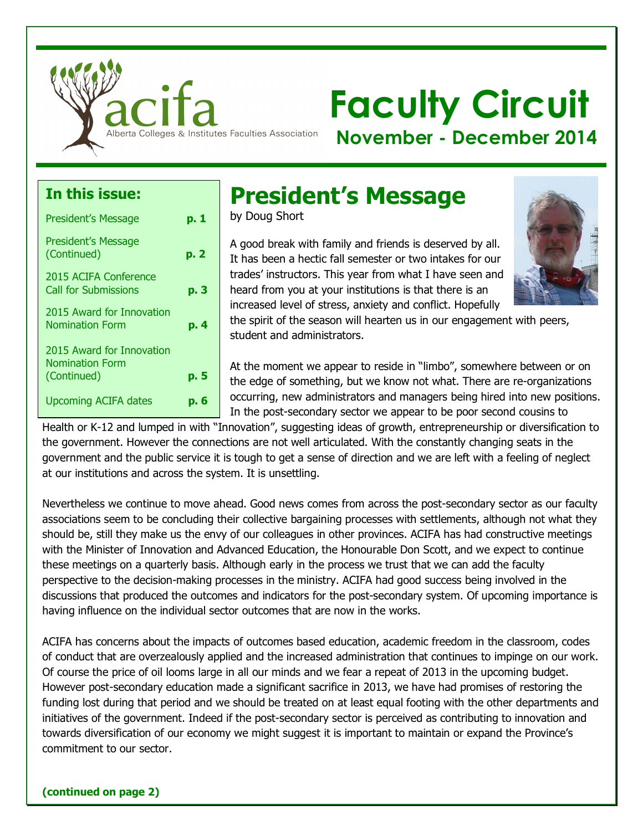

# **Faculty Circuit**

**November - December 2014**

#### **In this issue:**

| <b>President's Message</b><br>(Continued)<br>p. 2<br>2015 ACIFA Conference<br><b>Call for Submissions</b><br>p. 3<br>2015 Award for Innovation<br>Nomination Form<br>p. 4<br>2015 Award for Innovation<br><b>Nomination Form</b><br>(Continued)<br>p. 5<br><b>Upcoming ACIFA dates</b><br>D. б | <b>President's Message</b> | p. 1 |
|------------------------------------------------------------------------------------------------------------------------------------------------------------------------------------------------------------------------------------------------------------------------------------------------|----------------------------|------|
|                                                                                                                                                                                                                                                                                                |                            |      |
|                                                                                                                                                                                                                                                                                                |                            |      |
|                                                                                                                                                                                                                                                                                                |                            |      |
|                                                                                                                                                                                                                                                                                                |                            |      |
|                                                                                                                                                                                                                                                                                                |                            |      |
|                                                                                                                                                                                                                                                                                                |                            |      |

### **President's Message**

by Doug Short

A good break with family and friends is deserved by all. It has been a hectic fall semester or two intakes for our trades' instructors. This year from what I have seen and heard from you at your institutions is that there is an increased level of stress, anxiety and conflict. Hopefully



the spirit of the season will hearten us in our engagement with peers, student and administrators.

At the moment we appear to reside in "limbo", somewhere between or on the edge of something, but we know not what. There are re-organizations occurring, new administrators and managers being hired into new positions. In the post-secondary sector we appear to be poor second cousins to

Health or K-12 and lumped in with "Innovation", suggesting ideas of growth, entrepreneurship or diversification to the government. However the connections are not well articulated. With the constantly changing seats in the government and the public service it is tough to get a sense of direction and we are left with a feeling of neglect at our institutions and across the system. It is unsettling.

Nevertheless we continue to move ahead. Good news comes from across the post-secondary sector as our faculty associations seem to be concluding their collective bargaining processes with settlements, although not what they should be, still they make us the envy of our colleagues in other provinces. ACIFA has had constructive meetings with the Minister of Innovation and Advanced Education, the Honourable Don Scott, and we expect to continue these meetings on a quarterly basis. Although early in the process we trust that we can add the faculty perspective to the decision-making processes in the ministry. ACIFA had good success being involved in the discussions that produced the outcomes and indicators for the post-secondary system. Of upcoming importance is having influence on the individual sector outcomes that are now in the works.

ACIFA has concerns about the impacts of outcomes based education, academic freedom in the classroom, codes of conduct that are overzealously applied and the increased administration that continues to impinge on our work. Of course the price of oil looms large in all our minds and we fear a repeat of 2013 in the upcoming budget. However post-secondary education made a significant sacrifice in 2013, we have had promises of restoring the funding lost during that period and we should be treated on at least equal footing with the other departments and initiatives of the government. Indeed if the post-secondary sector is perceived as contributing to innovation and towards diversification of our economy we might suggest it is important to maintain or expand the Province's commitment to our sector.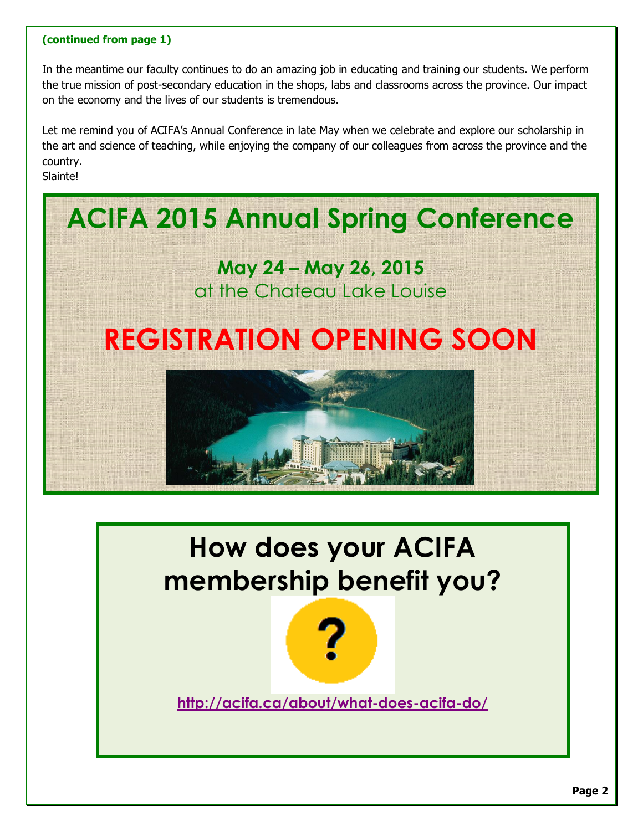#### **(continued from page 1)**

In the meantime our faculty continues to do an amazing job in educating and training our students. We perform the true mission of post-secondary education in the shops, labs and classrooms across the province. Our impact on the economy and the lives of our students is tremendous.

Let me remind you of ACIFA's Annual Conference in late May when we celebrate and explore our scholarship in the art and science of teaching, while enjoying the company of our colleagues from across the province and the country.

Slainte!



# **How does your ACIFA membership benefit you?**



**http://acifa.ca/about/what-does-acifa-do/**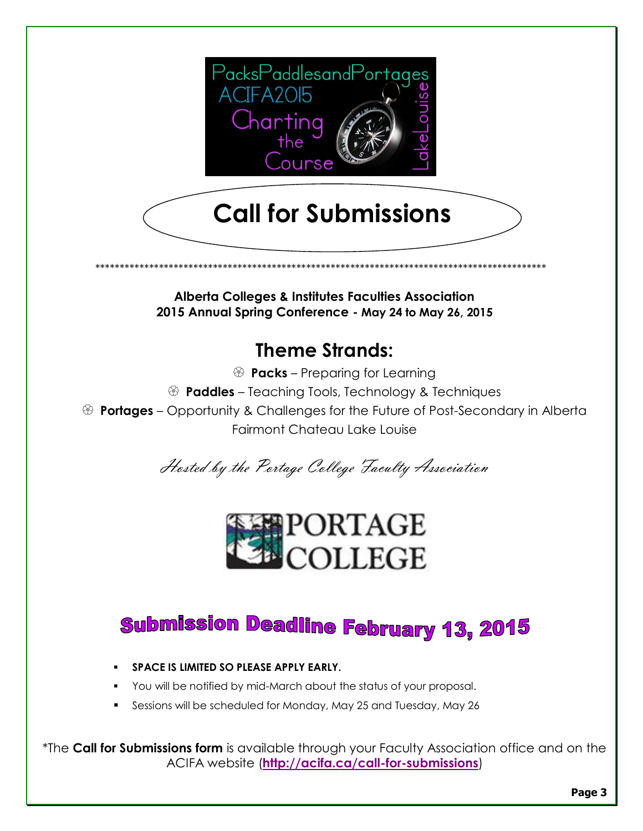

# **Call for Submissions**

**Alberta Colleges & Institutes Faculties Association** 2015 Annual Spring Conference - May 24 to May 26, 2015

### **Theme Strands:**

- <sup>3</sup> **Packs** Preparing for Learning
- <sup>2</sup> **Paddles** Teaching Tools, Technology & Techniques

**Beraury 3 Portages** – Opportunity & Challenges for the Future of Post-Secondary in Alberta **Fairmont Chateau Lake Louise** 

Hosted by the Portage College Faculty Association



### **Submission Deadline February 13, 2015**

- SPACE IS LIMITED SO PLEASE APPLY EARLY.
- You will be notified by mid-March about the status of your proposal.
- Sessions will be scheduled for Monday, May 25 and Tuesday, May 26  $\blacksquare$

\*The Call for Submissions form is available through your Faculty Association office and on the ACIFA website (http://acifa.ca/call-for-submissions)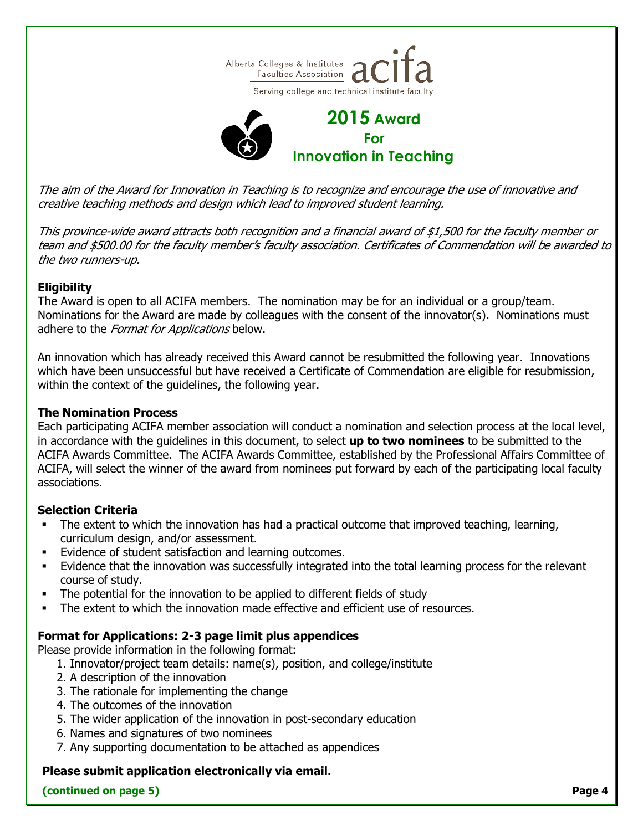

The aim of the Award for Innovation in Teaching is to recognize and encourage the use of innovative and creative teaching methods and design which lead to improved student learning.

This province-wide award attracts both recognition and a financial award of \$1,500 for the faculty member or team and \$500.00 for the faculty member's faculty association. Certificates of Commendation will be awarded to the two runners-up.

#### **Eligibility**

The Award is open to all ACIFA members. The nomination may be for an individual or a group/team. Nominations for the Award are made by colleagues with the consent of the innovator(s). Nominations must adhere to the *Format for Applications* below.

An innovation which has already received this Award cannot be resubmitted the following year. Innovations which have been unsuccessful but have received a Certificate of Commendation are eligible for resubmission, within the context of the guidelines, the following year.

#### **The Nomination Process**

Each participating ACIFA member association will conduct a nomination and selection process at the local level, in accordance with the guidelines in this document, to select **up to two nominees** to be submitted to the ACIFA Awards Committee. The ACIFA Awards Committee, established by the Professional Affairs Committee of ACIFA, will select the winner of the award from nominees put forward by each of the participating local faculty associations.

#### **Selection Criteria**

- The extent to which the innovation has had a practical outcome that improved teaching, learning, curriculum design, and/or assessment.
- Evidence of student satisfaction and learning outcomes.
- Evidence that the innovation was successfully integrated into the total learning process for the relevant course of study.
- The potential for the innovation to be applied to different fields of study
- The extent to which the innovation made effective and efficient use of resources.

#### **Format for Applications: 2-3 page limit plus appendices**

Please provide information in the following format:

- 1. Innovator/project team details: name(s), position, and college/institute
- 2. A description of the innovation
- 3. The rationale for implementing the change
- 4. The outcomes of the innovation
- 5. The wider application of the innovation in post-secondary education
- 6. Names and signatures of two nominees
- 7. Any supporting documentation to be attached as appendices

#### **Please submit application electronically via email.**

#### **(continued on page 5) Page 4**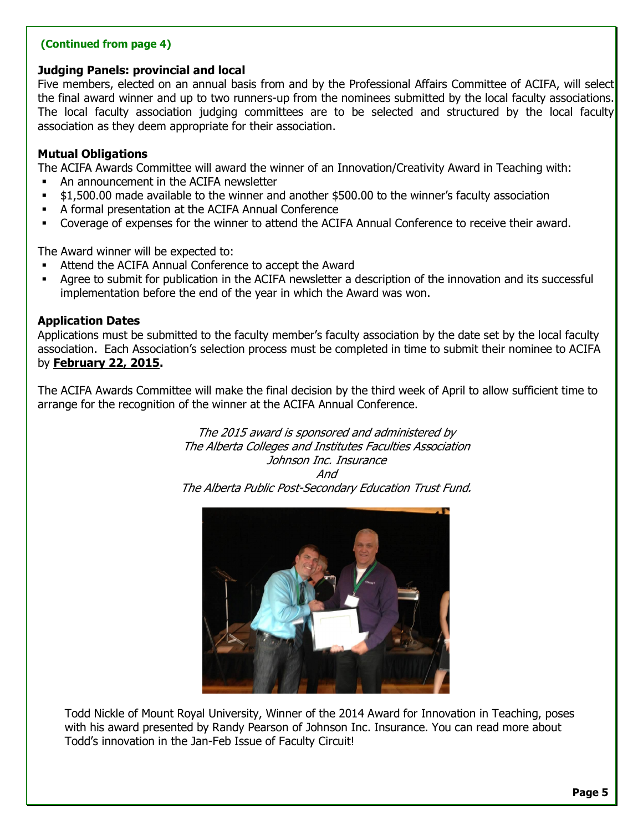#### **(Continued from page 4)**

#### **Judging Panels: provincial and local**

Five members, elected on an annual basis from and by the Professional Affairs Committee of ACIFA, will select the final award winner and up to two runners-up from the nominees submitted by the local faculty associations. The local faculty association judging committees are to be selected and structured by the local faculty association as they deem appropriate for their association.

#### **Mutual Obligations**

The ACIFA Awards Committee will award the winner of an Innovation/Creativity Award in Teaching with:

- ß An announcement in the ACIFA newsletter
- ß \$1,500.00 made available to the winner and another \$500.00 to the winner's faculty association
- A formal presentation at the ACIFA Annual Conference
- ß Coverage of expenses for the winner to attend the ACIFA Annual Conference to receive their award.

The Award winner will be expected to:

- ß Attend the ACIFA Annual Conference to accept the Award
- ß Agree to submit for publication in the ACIFA newsletter a description of the innovation and its successful implementation before the end of the year in which the Award was won.

#### **Application Dates**

Applications must be submitted to the faculty member's faculty association by the date set by the local faculty association. Each Association's selection process must be completed in time to submit their nominee to ACIFA by **February 22, 2015.**

The ACIFA Awards Committee will make the final decision by the third week of April to allow sufficient time to arrange for the recognition of the winner at the ACIFA Annual Conference.

> The 2015 award is sponsored and administered by The Alberta Colleges and Institutes Faculties Association Johnson Inc. Insurance And The Alberta Public Post-Secondary Education Trust Fund.



Todd Nickle of Mount Royal University, Winner of the 2014 Award for Innovation in Teaching, poses with his award presented by Randy Pearson of Johnson Inc. Insurance. You can read more about Todd's innovation in the Jan-Feb Issue of Faculty Circuit!